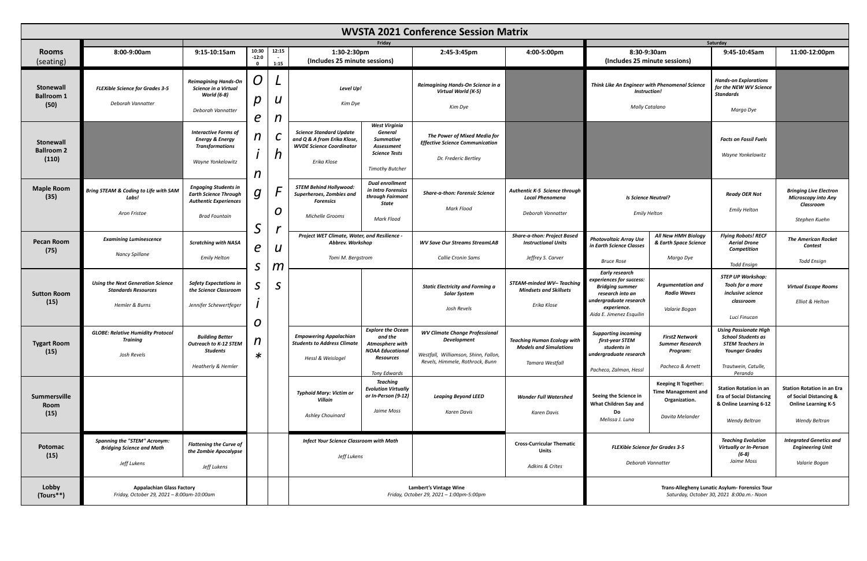| <b>WVSTA 2021 Conference Session Matrix</b>    |                                                                                          |                                                                                                                     |                                           |               |                                                                                                                 |                                                                                                                              |                                                                                                                                        |                                                                                                                                          |                                                                                                                                                                      |                                                                                               |                                                                                                                                                 |                                                                                                            |
|------------------------------------------------|------------------------------------------------------------------------------------------|---------------------------------------------------------------------------------------------------------------------|-------------------------------------------|---------------|-----------------------------------------------------------------------------------------------------------------|------------------------------------------------------------------------------------------------------------------------------|----------------------------------------------------------------------------------------------------------------------------------------|------------------------------------------------------------------------------------------------------------------------------------------|----------------------------------------------------------------------------------------------------------------------------------------------------------------------|-----------------------------------------------------------------------------------------------|-------------------------------------------------------------------------------------------------------------------------------------------------|------------------------------------------------------------------------------------------------------------|
| <b>Rooms</b><br>(seating)                      | 8:00-9:00am                                                                              | $9:15-10:15am$                                                                                                      | 10:30<br>$-12:0$<br>$\mathbf{0}$          | 12:15<br>1:15 | 1:30-2:30pm<br>(Includes 25 minute sessions)                                                                    | Friday                                                                                                                       | 2:45-3:45pm                                                                                                                            | 4:00-5:00pm                                                                                                                              | 8:30-9:30am<br>(Includes 25 minute sessions)                                                                                                                         |                                                                                               | Saturday<br>9:45-10:45am                                                                                                                        | 11:00-12:00pm                                                                                              |
| <b>Stonewall</b><br><b>Ballroom 1</b><br>(50)  | <b>FLEXible Science for Grades 3-5</b><br>Deborah Vannatter                              | <b>Reimagining Hands-On</b><br>Science in a Virtual<br><b>World (6-8)</b><br>Deborah Vannatter                      | O<br>$\boldsymbol{D}$                     |               | Level Up!<br>Kim Dye                                                                                            |                                                                                                                              | Reimagining Hands-On Science in a<br>Virtual World (K-5)<br>Kim Dye                                                                    |                                                                                                                                          | Think Like An Engineer with Phenomenal Science<br><b>Instruction!</b><br>Molly Catalano                                                                              |                                                                                               | <b>Hands-on Explorations</b><br>for the NEW WV Science<br><b>Standards</b><br>Margo Dye                                                         |                                                                                                            |
| <b>Stonewall</b><br><b>Ballroom 2</b><br>(110) |                                                                                          | <b>Interactive Forms of</b><br><b>Energy &amp; Energy</b><br><b>Transformations</b><br>Wayne Yonkelowitz            | $\boldsymbol{e}$<br>$\boldsymbol{n}$<br>n |               | <b>Science Standard Update</b><br>and Q & A from Erika Klose,<br><b>WVDE Science Coordinator</b><br>Erika Klose | West Virginia<br>General<br><b>Summative</b><br>Assessment<br><b>Science Tests</b><br>Timothy Butcher                        | The Power of Mixed Media for<br><b>Effective Science Communication</b><br>Dr. Frederic Bertley                                         |                                                                                                                                          |                                                                                                                                                                      |                                                                                               | <b>Facts on Fossil Fuels</b><br>Wayne Yonkelowitz                                                                                               |                                                                                                            |
| <b>Maple Room</b><br>(35)                      | <b>Bring STEAM &amp; Coding to Life with SAM</b><br>Labs!<br>Aron Fristoe                | <b>Engaging Students in</b><br><b>Earth Science Through</b><br><b>Authentic Experiences</b><br><b>Brad Fountain</b> | g                                         | O<br>r        | <b>STEM Behind Hollywood:</b><br>Superheroes, Zombies and<br><b>Forensics</b><br>Michelle Grooms                | <b>Dual enrollment</b><br>in Intro Forensics<br>through Fairmont<br>State<br>Mark Flood                                      | <b>Share-a-thon: Forensic Science</b><br>Mark Flood                                                                                    | <b>Authentic K-5 Science through</b><br><b>Local Phenomena</b><br><b>Is Science Neutral?</b><br><b>Emily Helton</b><br>Deborah Vannatter |                                                                                                                                                                      | <b>Ready OER Not</b><br><b>Emily Helton</b>                                                   | <b>Bringing Live Electron</b><br><b>Microscopy into Any</b><br>Classroom<br>Stephen Kuehn                                                       |                                                                                                            |
| <b>Pecan Room</b><br>(75)                      | <b>Examining Luminescence</b><br>Nancy Spillane                                          | <b>Scratching with NASA</b><br><b>Emily Helton</b>                                                                  | $\mathcal{S}$<br>$\boldsymbol{e}$         |               | Project WET Climate, Water, and Resilience -<br>Abbrev. Workshop<br>Tomi M. Bergstrom                           |                                                                                                                              | <b>WV Save Our Streams StreamLAB</b><br>Callie Cronin Sams                                                                             | <b>Share-a-thon: Project Based</b><br><b>Instructional Units</b><br>Jeffrey S. Carver                                                    | <b>Photovoltaic Array Use</b><br>in Earth Science Classes<br>Bruce Rose                                                                                              | All New HMH Biology<br>& Earth Space Science<br>Margo Dye                                     | <b>Flying Robots! RECF</b><br><b>Aerial Drone</b><br>Competition<br><b>Todd Ensign</b>                                                          | <b>The American Rocket</b><br><b>Contest</b><br><b>Todd Ensign</b>                                         |
| <b>Sutton Room</b><br>(15)                     | <b>Using the Next Generation Science</b><br><b>Standards Resources</b><br>Hemler & Burns | <b>Safety Expectations in</b><br>the Science Classroom<br>Jennifer Schewertfeger                                    | $\mathcal{S}$<br>$\mathsf S$<br>O         | n<br>C.       |                                                                                                                 |                                                                                                                              | <b>Static Electricity and Forming a</b><br><b>Solar System</b><br>Josh Revels                                                          | STEAM-minded WV-Teaching<br><b>Mindsets and Skillsets</b><br>Erika Klose                                                                 | <b>Early research</b><br>experiences for success:<br><b>Bridging summer</b><br>research into an<br>undergraduate research<br>experience.<br>Aida E. Jimenez Esquilin | <b>Argumentation and</b><br><b>Radio Waves</b><br>Valarie Bogan                               | <b>STEP UP Workshop:</b><br>Tools for a more<br>inclusive science<br>classroom<br>Luci Finucan                                                  | <b>Virtual Escape Rooms</b><br>Elliot & Helton                                                             |
| <b>Tygart Room</b><br>(15)                     | <b>GLOBE: Relative Humidity Protocol</b><br>Training<br>Josh Revels                      | <b>Building Better</b><br>Outreach to K-12 STEM<br><b>Students</b><br>Heatherly & Hemler                            | $\mathbf{r}$<br>$\mathbf{I}$<br>$\ast$    |               | <b>Empowering Appalachian</b><br><b>Students to Address Climate</b><br>Hessl & Weislogel                        | <b>Explore the Ocean</b><br>and the<br>Atmosphere with<br><b>NOAA Educational</b><br><b>Resources</b><br><b>Tony Edwards</b> | <b>WV Climate Change Professional</b><br><b>Development</b><br>Westfall, Williamson, Shinn, Fallon,<br>Revels, Himmele, Rothrock, Bunn | <b>Teaching Human Ecology with</b><br><b>Models and Simulations</b><br>Tamara Westfall                                                   | <b>Supporting incoming</b><br>first-year STEM<br>students in<br>undergraduate research<br>Pacheco, Zalman, Hessl                                                     | <b>First2 Network</b><br><b>Summer Research</b><br>Program:<br>Pacheco & Arnett               | <b>Using Passionate High</b><br><b>School Students as</b><br><b>STEM Teachers in</b><br><b>Younger Grades</b><br>Trautwein, Catulle,<br>Perando |                                                                                                            |
| Summersville<br>Room<br>(15)                   |                                                                                          |                                                                                                                     |                                           |               | <b>Typhoid Mary: Victim or</b><br>Villain<br><b>Ashley Chouinard</b>                                            | <b>Teaching</b><br><b>Evolution Virtually</b><br>or In-Person (9-12)<br>Jaime Moss                                           | <b>Leaping Beyond LEED</b><br>Karen Davis                                                                                              | <b>Wonder Full Watershed</b><br>Karen Davis                                                                                              | Seeing the Science in<br>What Children Say and<br>Do<br>Melissa J. Luna                                                                                              | <b>Keeping It Together:</b><br><b>Time Management and</b><br>Organization.<br>Davita Melander | <b>Station Rotation in an</b><br><b>Era of Social Distancing</b><br>& Online Learning 6-12<br><b>Wendy Beltran</b>                              | <b>Station Rotation in an Era</b><br>of Social Distancing &<br><b>Online Learning K-5</b><br>Wendy Beltran |
| Potomac<br>(15)                                | <b>Spanning the "STEM" Acronym:</b><br><b>Bridging Science and Math</b><br>Jeff Lukens   | <b>Flattening the Curve of</b><br>the Zombie Apocalypse<br>Jeff Lukens                                              |                                           |               | <b>Infect Your Science Classroom with Math</b><br>Jeff Lukens                                                   |                                                                                                                              |                                                                                                                                        | <b>Cross-Curricular Thematic</b><br><b>Units</b><br>Adkins & Crites                                                                      | <b>FLEXible Science for Grades 3-5</b><br>Deborah Vannatter                                                                                                          |                                                                                               | <b>Teaching Evolution</b><br><b>Virtually or In-Person</b><br>$(6-8)$<br>Jaime Moss                                                             | <b>Integrated Genetics and</b><br><b>Engineering Unit</b><br>Valarie Bogan                                 |
| Lobby<br>(Tours**)                             | <b>Appalachian Glass Factory</b><br>Friday, October 29, 2021 - 8:00am-10:00am            |                                                                                                                     |                                           |               | Lambert's Vintage Wine<br>Friday, October 29, 2021 - 1:00pm-5:00pm                                              |                                                                                                                              |                                                                                                                                        |                                                                                                                                          | Trans-Allegheny Lunatic Asylum- Forensics Tour<br>Saturday, October 30, 2021 8:00a.m.- Noon                                                                          |                                                                                               |                                                                                                                                                 |                                                                                                            |